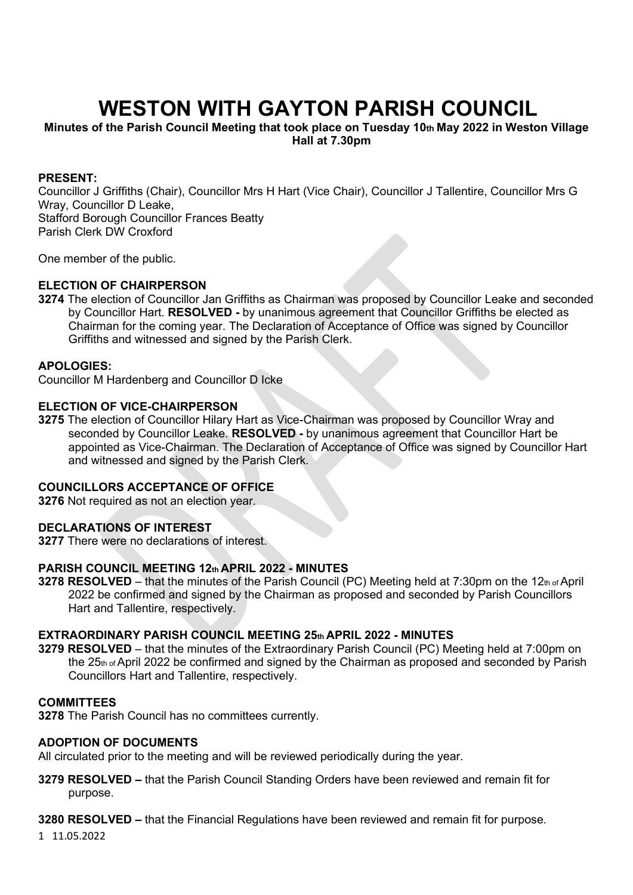# **WESTON WITH GAYTON PARISH COUNCIL**

**Minutes of the Parish Council Meeting that took place on Tuesday 10th May 2022 in Weston Village Hall at 7.30pm** 

#### **PRESENT:**

Councillor J Griffiths (Chair), Councillor Mrs H Hart (Vice Chair), Councillor J Tallentire, Councillor Mrs G Wray, Councillor D Leake, Stafford Borough Councillor Frances Beatty Parish Clerk DW Croxford

One member of the public.

#### **ELECTION OF CHAIRPERSON**

**3274** The election of Councillor Jan Griffiths as Chairman was proposed by Councillor Leake and seconded by Councillor Hart. **RESOLVED -** by unanimous agreement that Councillor Griffiths be elected as Chairman for the coming year. The Declaration of Acceptance of Office was signed by Councillor Griffiths and witnessed and signed by the Parish Clerk.

#### **APOLOGIES:**

Councillor M Hardenberg and Councillor D Icke

#### **ELECTION OF VICE-CHAIRPERSON**

**3275** The election of Councillor Hilary Hart as Vice-Chairman was proposed by Councillor Wray and seconded by Councillor Leake. **RESOLVED -** by unanimous agreement that Councillor Hart be appointed as Vice-Chairman. The Declaration of Acceptance of Office was signed by Councillor Hart and witnessed and signed by the Parish Clerk.

## **COUNCILLORS ACCEPTANCE OF OFFICE**

**3276** Not required as not an election year.

## **DECLARATIONS OF INTEREST**

**3277** There were no declarations of interest.

## **PARISH COUNCIL MEETING 12th APRIL 2022 - MINUTES**

**3278 RESOLVED** – that the minutes of the Parish Council (PC) Meeting held at 7:30pm on the 12th of April 2022 be confirmed and signed by the Chairman as proposed and seconded by Parish Councillors Hart and Tallentire, respectively.

## **EXTRAORDINARY PARISH COUNCIL MEETING 25th APRIL 2022 - MINUTES**

**3279 RESOLVED** – that the minutes of the Extraordinary Parish Council (PC) Meeting held at 7:00pm on the 25th of April 2022 be confirmed and signed by the Chairman as proposed and seconded by Parish Councillors Hart and Tallentire, respectively.

#### **COMMITTEES**

**3278** The Parish Council has no committees currently.

## **ADOPTION OF DOCUMENTS**

All circulated prior to the meeting and will be reviewed periodically during the year.

**3279 RESOLVED –** that the Parish Council Standing Orders have been reviewed and remain fit for purpose.

**3280 RESOLVED –** that the Financial Regulations have been reviewed and remain fit for purpose.

1 11.05.2022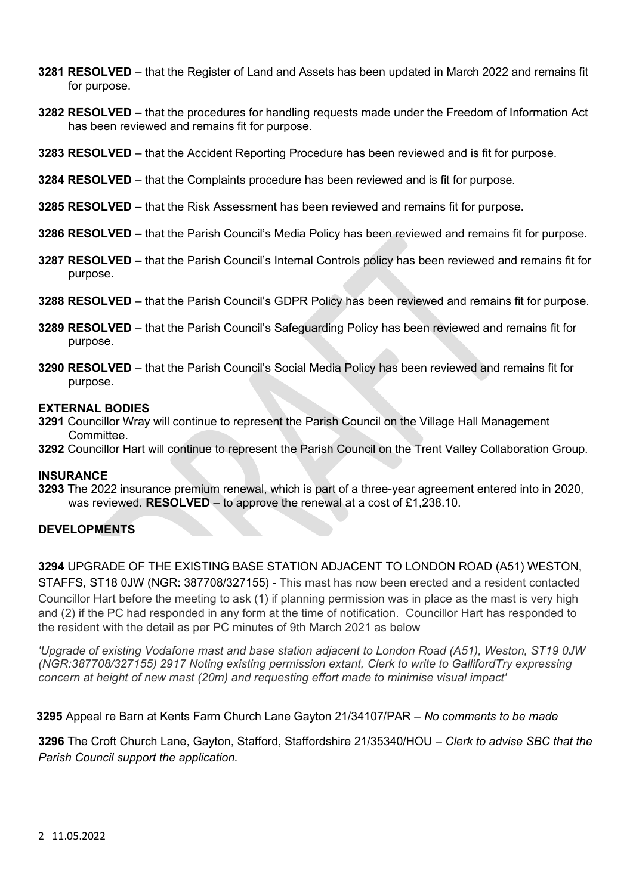- **3281 RESOLVED**  that the Register of Land and Assets has been updated in March 2022 and remains fit for purpose.
- **3282 RESOLVED –** that the procedures for handling requests made under the Freedom of Information Act has been reviewed and remains fit for purpose.
- **3283 RESOLVED**  that the Accident Reporting Procedure has been reviewed and is fit for purpose.
- **3284 RESOLVED**  that the Complaints procedure has been reviewed and is fit for purpose.
- **3285 RESOLVED –** that the Risk Assessment has been reviewed and remains fit for purpose.
- **3286 RESOLVED –** that the Parish Council's Media Policy has been reviewed and remains fit for purpose.
- **3287 RESOLVED –** that the Parish Council's Internal Controls policy has been reviewed and remains fit for purpose.
- **3288 RESOLVED**  that the Parish Council's GDPR Policy has been reviewed and remains fit for purpose.
- **3289 RESOLVED**  that the Parish Council's Safeguarding Policy has been reviewed and remains fit for purpose.
- **3290 RESOLVED**  that the Parish Council's Social Media Policy has been reviewed and remains fit for purpose.

#### **EXTERNAL BODIES**

- **3291** Councillor Wray will continue to represent the Parish Council on the Village Hall Management Committee.
- **3292** Councillor Hart will continue to represent the Parish Council on the Trent Valley Collaboration Group.

#### **INSURANCE**

**3293** The 2022 insurance premium renewal, which is part of a three-year agreement entered into in 2020, was reviewed. **RESOLVED** – to approve the renewal at a cost of £1,238.10.

## **DEVELOPMENTS**

**3294** UPGRADE OF THE EXISTING BASE STATION ADJACENT TO LONDON ROAD (A51) WESTON, STAFFS, ST18 0JW (NGR: 387708/327155) - This mast has now been erected and a resident contacted Councillor Hart before the meeting to ask (1) if planning permission was in place as the mast is very high and (2) if the PC had responded in any form at the time of notification. Councillor Hart has responded to the resident with the detail as per PC minutes of 9th March 2021 as below

*'Upgrade of existing Vodafone mast and base station adjacent to London Road (A51), Weston, ST19 0JW (NGR:387708/327155) 2917 Noting existing permission extant, Clerk to write to GallifordTry expressing concern at height of new mast (20m) and requesting effort made to minimise visual impact'*

**3295** Appeal re Barn at Kents Farm Church Lane Gayton 21/34107/PAR – *No comments to be made*

**3296** The Croft Church Lane, Gayton, Stafford, Staffordshire 21/35340/HOU – *Clerk to advise SBC that the Parish Council support the application.*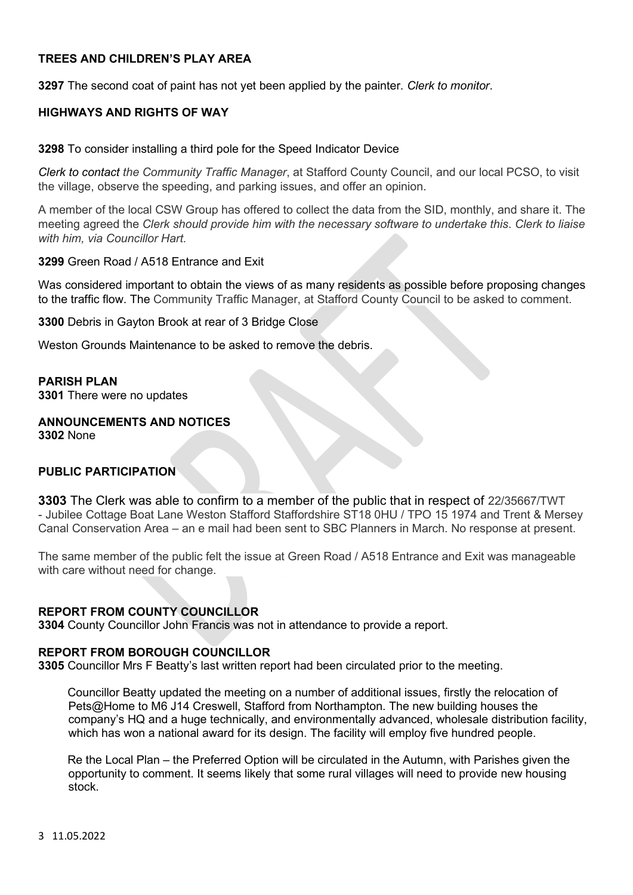## **TREES AND CHILDREN'S PLAY AREA**

**3297** The second coat of paint has not yet been applied by the painter. *Clerk to monitor*.

## **HIGHWAYS AND RIGHTS OF WAY**

#### **3298** To consider installing a third pole for the Speed Indicator Device

*Clerk to contact the Community Traffic Manager*, at Stafford County Council, and our local PCSO, to visit the village, observe the speeding, and parking issues, and offer an opinion.

A member of the local CSW Group has offered to collect the data from the SID, monthly, and share it. The meeting agreed the *Clerk should provide him with the necessary software to undertake this*. *Clerk to liaise with him, via Councillor Hart.*

#### **3299** Green Road / A518 Entrance and Exit

Was considered important to obtain the views of as many residents as possible before proposing changes to the traffic flow. The Community Traffic Manager, at Stafford County Council to be asked to comment.

**3300** Debris in Gayton Brook at rear of 3 Bridge Close

Weston Grounds Maintenance to be asked to remove the debris.

#### **PARISH PLAN**

**3301** There were no updates

#### **ANNOUNCEMENTS AND NOTICES 3302** None

#### **PUBLIC PARTICIPATION**

**3303** The Clerk was able to confirm to a member of the public that in respect of 22/35667/TWT - Jubilee Cottage Boat Lane Weston Stafford Staffordshire ST18 0HU / TPO 15 1974 and Trent & Mersey Canal Conservation Area – an e mail had been sent to SBC Planners in March. No response at present.

The same member of the public felt the issue at Green Road / A518 Entrance and Exit was manageable with care without need for change.

#### **REPORT FROM COUNTY COUNCILLOR**

**3304** County Councillor John Francis was not in attendance to provide a report.

#### **REPORT FROM BOROUGH COUNCILLOR**

**3305** Councillor Mrs F Beatty's last written report had been circulated prior to the meeting.

 Councillor Beatty updated the meeting on a number of additional issues, firstly the relocation of Pets@Home to M6 J14 Creswell, Stafford from Northampton. The new building houses the company's HQ and a huge technically, and environmentally advanced, wholesale distribution facility, which has won a national award for its design. The facility will employ five hundred people.

 Re the Local Plan – the Preferred Option will be circulated in the Autumn, with Parishes given the opportunity to comment. It seems likely that some rural villages will need to provide new housing stock.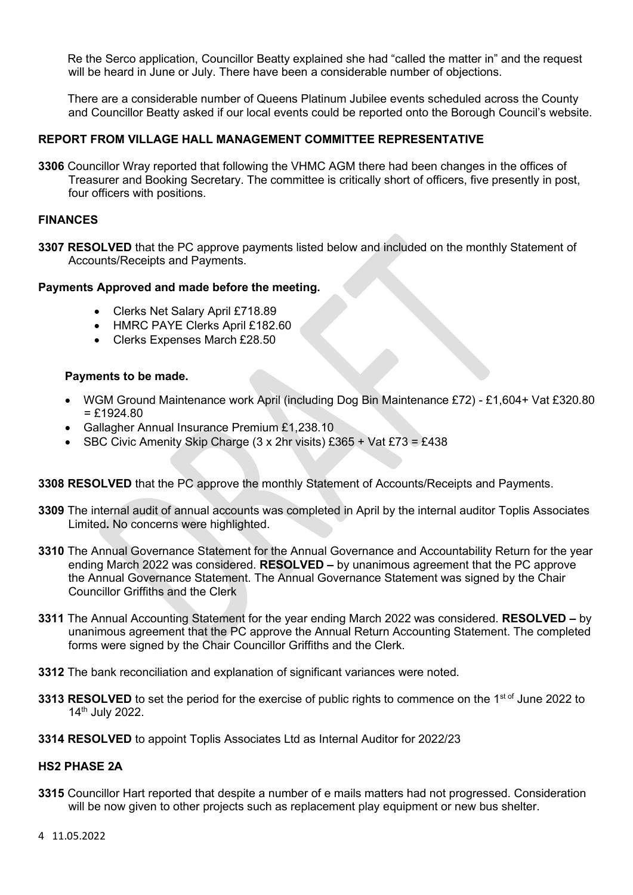Re the Serco application, Councillor Beatty explained she had "called the matter in" and the request will be heard in June or July. There have been a considerable number of objections.

 There are a considerable number of Queens Platinum Jubilee events scheduled across the County and Councillor Beatty asked if our local events could be reported onto the Borough Council's website.

## **REPORT FROM VILLAGE HALL MANAGEMENT COMMITTEE REPRESENTATIVE**

**3306** Councillor Wray reported that following the VHMC AGM there had been changes in the offices of Treasurer and Booking Secretary. The committee is critically short of officers, five presently in post, four officers with positions.

#### **FINANCES**

**3307 RESOLVED** that the PC approve payments listed below and included on the monthly Statement of Accounts/Receipts and Payments.

#### **Payments Approved and made before the meeting.**

- Clerks Net Salary April £718.89
- HMRC PAYE Clerks April £182.60
- Clerks Expenses March £28.50

#### **Payments to be made.**

- WGM Ground Maintenance work April (including Dog Bin Maintenance £72) £1,604+ Vat £320.80  $=$  £1924.80
- Gallagher Annual Insurance Premium £1,238.10
- SBC Civic Amenity Skip Charge (3 x 2hr visits) £365 + Vat £73 = £438

#### **3308 RESOLVED** that the PC approve the monthly Statement of Accounts/Receipts and Payments.

- **3309** The internal audit of annual accounts was completed in April by the internal auditor Toplis Associates Limited**.** No concerns were highlighted.
- **3310** The Annual Governance Statement for the Annual Governance and Accountability Return for the year ending March 2022 was considered. **RESOLVED –** by unanimous agreement that the PC approve the Annual Governance Statement. The Annual Governance Statement was signed by the Chair Councillor Griffiths and the Clerk
- **3311** The Annual Accounting Statement for the year ending March 2022 was considered. **RESOLVED –** by unanimous agreement that the PC approve the Annual Return Accounting Statement. The completed forms were signed by the Chair Councillor Griffiths and the Clerk.
- **3312** The bank reconciliation and explanation of significant variances were noted.
- 3313 RESOLVED to set the period for the exercise of public rights to commence on the 1<sup>st of</sup> June 2022 to 14th July 2022.
- **3314 RESOLVED** to appoint Toplis Associates Ltd as Internal Auditor for 2022/23

## **HS2 PHASE 2A**

**3315** Councillor Hart reported that despite a number of e mails matters had not progressed. Consideration will be now given to other projects such as replacement play equipment or new bus shelter.

4 11.05.2022